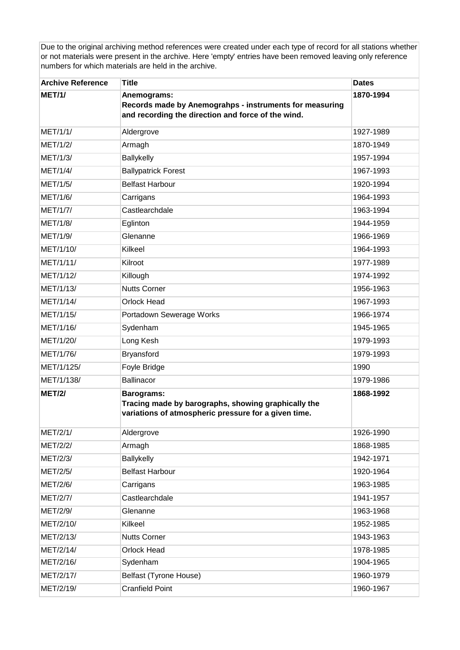Due to the original archiving method references were created under each type of record for all stations whether or not materials were present in the archive. Here 'empty' entries have been removed leaving only reference numbers for which materials are held in the archive.

| <b>Archive Reference</b> | <b>Title</b>                                                                                                                     | <b>Dates</b> |
|--------------------------|----------------------------------------------------------------------------------------------------------------------------------|--------------|
| <b>MET/1/</b>            | Anemograms:<br>Records made by Anemograhps - instruments for measuring<br>and recording the direction and force of the wind.     | 1870-1994    |
| MET/1/1/                 | Aldergrove                                                                                                                       | 1927-1989    |
| MET/1/2/                 | Armagh                                                                                                                           | 1870-1949    |
| MET/1/3/                 | Ballykelly                                                                                                                       | 1957-1994    |
| MET/1/4/                 | <b>Ballypatrick Forest</b>                                                                                                       | 1967-1993    |
| MET/1/5/                 | <b>Belfast Harbour</b>                                                                                                           | 1920-1994    |
| MET/1/6/                 | Carrigans                                                                                                                        | 1964-1993    |
| <b>MET/1/7/</b>          | Castlearchdale                                                                                                                   | 1963-1994    |
| MET/1/8/                 | Eglinton                                                                                                                         | 1944-1959    |
| MET/1/9/                 | Glenanne                                                                                                                         | 1966-1969    |
| MET/1/10/                | Kilkeel                                                                                                                          | 1964-1993    |
| MET/1/11/                | Kilroot                                                                                                                          | 1977-1989    |
| MET/1/12/                | Killough                                                                                                                         | 1974-1992    |
| MET/1/13/                | <b>Nutts Corner</b>                                                                                                              | 1956-1963    |
| MET/1/14/                | Orlock Head                                                                                                                      | 1967-1993    |
| MET/1/15/                | Portadown Sewerage Works                                                                                                         | 1966-1974    |
| MET/1/16/                | Sydenham                                                                                                                         | 1945-1965    |
| MET/1/20/                | Long Kesh                                                                                                                        | 1979-1993    |
| MET/1/76/                | Bryansford                                                                                                                       | 1979-1993    |
| MET/1/125/               | Foyle Bridge                                                                                                                     | 1990         |
| MET/1/138/               | <b>Ballinacor</b>                                                                                                                | 1979-1986    |
| <b>MET/2/</b>            | <b>Barograms:</b><br>Tracing made by barographs, showing graphically the<br>variations of atmospheric pressure for a given time. | 1868-1992    |
| MET/2/1/                 | Aldergrove                                                                                                                       | 1926-1990    |
| MET/2/2/                 | Armagh                                                                                                                           | 1868-1985    |
| MET/2/3/                 | Ballykelly                                                                                                                       | 1942-1971    |
| MET/2/5/                 | <b>Belfast Harbour</b>                                                                                                           | 1920-1964    |
| MET/2/6/                 | Carrigans                                                                                                                        | 1963-1985    |
| MET/2/7/                 | Castlearchdale                                                                                                                   | 1941-1957    |
| MET/2/9/                 | Glenanne                                                                                                                         | 1963-1968    |
| MET/2/10/                | Kilkeel                                                                                                                          | 1952-1985    |
| MET/2/13/                | <b>Nutts Corner</b>                                                                                                              | 1943-1963    |
| MET/2/14/                | Orlock Head                                                                                                                      | 1978-1985    |
| MET/2/16/                | Sydenham                                                                                                                         | 1904-1965    |
| MET/2/17/                | Belfast (Tyrone House)                                                                                                           | 1960-1979    |
| MET/2/19/                | <b>Cranfield Point</b>                                                                                                           | 1960-1967    |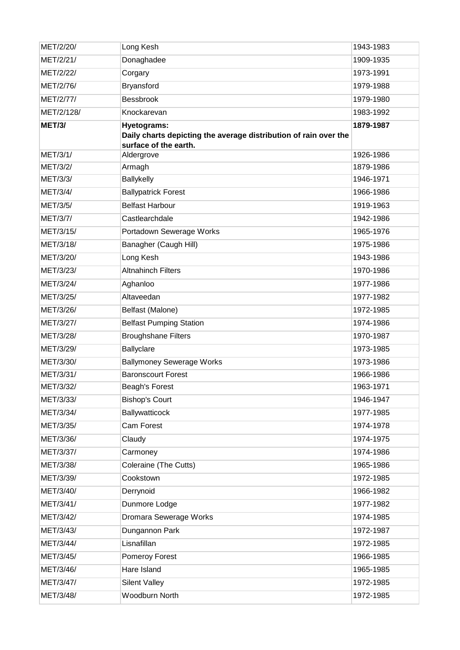| MET/2/20/     | Long Kesh                                                        | 1943-1983 |
|---------------|------------------------------------------------------------------|-----------|
| MET/2/21/     | Donaghadee                                                       | 1909-1935 |
| MET/2/22/     | Corgary                                                          | 1973-1991 |
| MET/2/76/     | Bryansford                                                       | 1979-1988 |
| MET/2/77/     | Bessbrook                                                        | 1979-1980 |
| MET/2/128/    | Knockarevan                                                      | 1983-1992 |
| <b>MET/3/</b> | <b>Hyetograms:</b>                                               | 1879-1987 |
|               | Daily charts depicting the average distribution of rain over the |           |
| MET/3/1/      | surface of the earth.<br>Aldergrove                              | 1926-1986 |
| MET/3/2/      | Armagh                                                           | 1879-1986 |
| MET/3/3/      | <b>Ballykelly</b>                                                | 1946-1971 |
| MET/3/4/      | <b>Ballypatrick Forest</b>                                       | 1966-1986 |
| MET/3/5/      | <b>Belfast Harbour</b>                                           | 1919-1963 |
| MET/3/7/      | Castlearchdale                                                   | 1942-1986 |
| MET/3/15/     | Portadown Sewerage Works                                         | 1965-1976 |
| MET/3/18/     | Banagher (Caugh Hill)                                            | 1975-1986 |
| MET/3/20/     | Long Kesh                                                        | 1943-1986 |
| MET/3/23/     | <b>Altnahinch Filters</b>                                        | 1970-1986 |
| MET/3/24/     | Aghanloo                                                         | 1977-1986 |
| MET/3/25/     | Altaveedan                                                       | 1977-1982 |
| MET/3/26/     | Belfast (Malone)                                                 | 1972-1985 |
| MET/3/27/     | <b>Belfast Pumping Station</b>                                   | 1974-1986 |
| MET/3/28/     | <b>Broughshane Filters</b>                                       | 1970-1987 |
| MET/3/29/     | Ballyclare                                                       | 1973-1985 |
| MET/3/30/     | <b>Ballymoney Sewerage Works</b>                                 | 1973-1986 |
| MET/3/31/     | <b>Baronscourt Forest</b>                                        | 1966-1986 |
| MET/3/32/     | Beagh's Forest                                                   | 1963-1971 |
| MET/3/33/     | <b>Bishop's Court</b>                                            | 1946-1947 |
| MET/3/34/     | Ballywatticock                                                   | 1977-1985 |
| MET/3/35/     | <b>Cam Forest</b>                                                | 1974-1978 |
| MET/3/36/     | Claudy                                                           | 1974-1975 |
| MET/3/37/     | Carmoney                                                         | 1974-1986 |
| MET/3/38/     | Coleraine (The Cutts)                                            | 1965-1986 |
| MET/3/39/     | Cookstown                                                        | 1972-1985 |
| MET/3/40/     | Derrynoid                                                        | 1966-1982 |
| MET/3/41/     | Dunmore Lodge                                                    | 1977-1982 |
| MET/3/42/     | Dromara Sewerage Works                                           | 1974-1985 |
| MET/3/43/     | Dungannon Park                                                   | 1972-1987 |
| MET/3/44/     | Lisnafillan                                                      | 1972-1985 |
| MET/3/45/     | Pomeroy Forest                                                   | 1966-1985 |
| MET/3/46/     | Hare Island                                                      | 1965-1985 |
| MET/3/47/     | Silent Valley                                                    | 1972-1985 |
| MET/3/48/     | Woodburn North                                                   | 1972-1985 |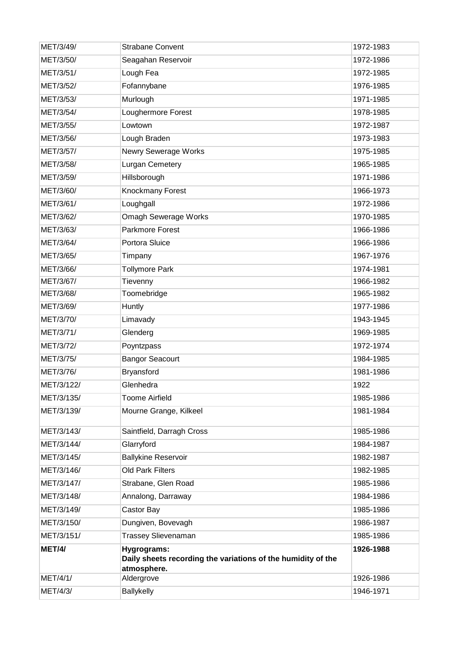| MET/3/49/     | <b>Strabane Convent</b>                                                     | 1972-1983 |
|---------------|-----------------------------------------------------------------------------|-----------|
| MET/3/50/     | Seagahan Reservoir                                                          | 1972-1986 |
| MET/3/51/     | Lough Fea                                                                   | 1972-1985 |
| MET/3/52/     | Fofannybane                                                                 | 1976-1985 |
| MET/3/53/     | Murlough                                                                    | 1971-1985 |
| MET/3/54/     | Loughermore Forest                                                          | 1978-1985 |
| MET/3/55/     | Lowtown                                                                     | 1972-1987 |
| MET/3/56/     | Lough Braden                                                                | 1973-1983 |
| MET/3/57/     | Newry Sewerage Works                                                        | 1975-1985 |
| MET/3/58/     | Lurgan Cemetery                                                             | 1965-1985 |
| MET/3/59/     | Hillsborough                                                                | 1971-1986 |
| MET/3/60/     | Knockmany Forest                                                            | 1966-1973 |
| MET/3/61/     | Loughgall                                                                   | 1972-1986 |
| MET/3/62/     | Omagh Sewerage Works                                                        | 1970-1985 |
| MET/3/63/     | Parkmore Forest                                                             | 1966-1986 |
| MET/3/64/     | Portora Sluice                                                              | 1966-1986 |
| MET/3/65/     | Timpany                                                                     | 1967-1976 |
| MET/3/66/     | <b>Tollymore Park</b>                                                       | 1974-1981 |
| MET/3/67/     | Tievenny                                                                    | 1966-1982 |
| MET/3/68/     | Toomebridge                                                                 | 1965-1982 |
| MET/3/69/     | Huntly                                                                      | 1977-1986 |
| MET/3/70/     | Limavady                                                                    | 1943-1945 |
| MET/3/71/     | Glenderg                                                                    | 1969-1985 |
| MET/3/72/     | Poyntzpass                                                                  | 1972-1974 |
| MET/3/75/     | <b>Bangor Seacourt</b>                                                      | 1984-1985 |
| MET/3/76/     | Bryansford                                                                  | 1981-1986 |
| MET/3/122/    | Glenhedra                                                                   | 1922      |
| MET/3/135/    | <b>Toome Airfield</b>                                                       | 1985-1986 |
| MET/3/139/    | Mourne Grange, Kilkeel                                                      | 1981-1984 |
| MET/3/143/    | Saintfield, Darragh Cross                                                   | 1985-1986 |
| MET/3/144/    | Glarryford                                                                  | 1984-1987 |
| MET/3/145/    | <b>Ballykine Reservoir</b>                                                  | 1982-1987 |
| MET/3/146/    | Old Park Filters                                                            | 1982-1985 |
| MET/3/147/    | Strabane, Glen Road                                                         | 1985-1986 |
| MET/3/148/    | Annalong, Darraway                                                          | 1984-1986 |
| MET/3/149/    | Castor Bay                                                                  | 1985-1986 |
| MET/3/150/    | Dungiven, Bovevagh                                                          | 1986-1987 |
| MET/3/151/    | <b>Trassey Slievenaman</b>                                                  | 1985-1986 |
| <b>MET/4/</b> | Hygrograms:                                                                 | 1926-1988 |
|               | Daily sheets recording the variations of the humidity of the<br>atmosphere. |           |
| MET/4/1/      | Aldergrove                                                                  | 1926-1986 |
| MET/4/3/      | Ballykelly                                                                  | 1946-1971 |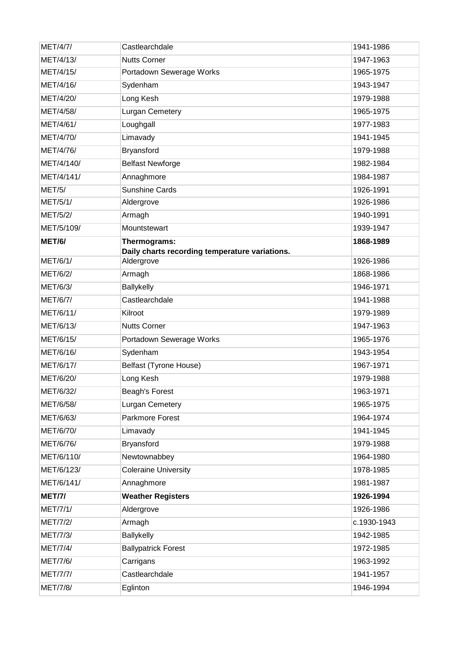| MET/4/7/        | Castlearchdale                                                 | 1941-1986   |
|-----------------|----------------------------------------------------------------|-------------|
| MET/4/13/       | <b>Nutts Corner</b>                                            | 1947-1963   |
| MET/4/15/       | Portadown Sewerage Works                                       | 1965-1975   |
| MET/4/16/       | Sydenham                                                       | 1943-1947   |
| MET/4/20/       | Long Kesh                                                      | 1979-1988   |
| MET/4/58/       | Lurgan Cemetery                                                | 1965-1975   |
| MET/4/61/       | Loughgall                                                      | 1977-1983   |
| MET/4/70/       | Limavady                                                       | 1941-1945   |
| MET/4/76/       | Bryansford                                                     | 1979-1988   |
| MET/4/140/      | <b>Belfast Newforge</b>                                        | 1982-1984   |
| MET/4/141/      | Annaghmore                                                     | 1984-1987   |
| MET/5/          | <b>Sunshine Cards</b>                                          | 1926-1991   |
| MET/5/1/        | Aldergrove                                                     | 1926-1986   |
| MET/5/2/        | Armagh                                                         | 1940-1991   |
| MET/5/109/      | Mountstewart                                                   | 1939-1947   |
| <b>MET/6/</b>   | Thermograms:<br>Daily charts recording temperature variations. | 1868-1989   |
| MET/6/1/        | Aldergrove                                                     | 1926-1986   |
| MET/6/2/        | Armagh                                                         | 1868-1986   |
| MET/6/3/        | Ballykelly                                                     | 1946-1971   |
| MET/6/7/        | Castlearchdale                                                 | 1941-1988   |
| MET/6/11/       | Kilroot                                                        | 1979-1989   |
| MET/6/13/       | <b>Nutts Corner</b>                                            | 1947-1963   |
| MET/6/15/       | Portadown Sewerage Works                                       | 1965-1976   |
| MET/6/16/       | Sydenham                                                       | 1943-1954   |
| MET/6/17/       | Belfast (Tyrone House)                                         | 1967-1971   |
| MET/6/20/       | Long Kesh                                                      | 1979-1988   |
| MET/6/32/       | Beagh's Forest                                                 | 1963-1971   |
| MET/6/58/       | Lurgan Cemetery                                                | 1965-1975   |
| MET/6/63/       | Parkmore Forest                                                | 1964-1974   |
| MET/6/70/       | Limavady                                                       | 1941-1945   |
| MET/6/76/       | Bryansford                                                     | 1979-1988   |
| MET/6/110/      | Newtownabbey                                                   | 1964-1980   |
| MET/6/123/      | <b>Coleraine University</b>                                    | 1978-1985   |
| MET/6/141/      | Annaghmore                                                     | 1981-1987   |
| <b>MET/7/</b>   | <b>Weather Registers</b>                                       | 1926-1994   |
| MET/7/1/        | Aldergrove                                                     | 1926-1986   |
| MET/7/2/        | Armagh                                                         | c.1930-1943 |
| MET/7/3/        | Ballykelly                                                     | 1942-1985   |
| <b>MET/7/4/</b> | <b>Ballypatrick Forest</b>                                     | 1972-1985   |
| MET/7/6/        | Carrigans                                                      | 1963-1992   |
| <b>MET/7/7/</b> | Castlearchdale                                                 | 1941-1957   |
| MET/7/8/        | Eglinton                                                       | 1946-1994   |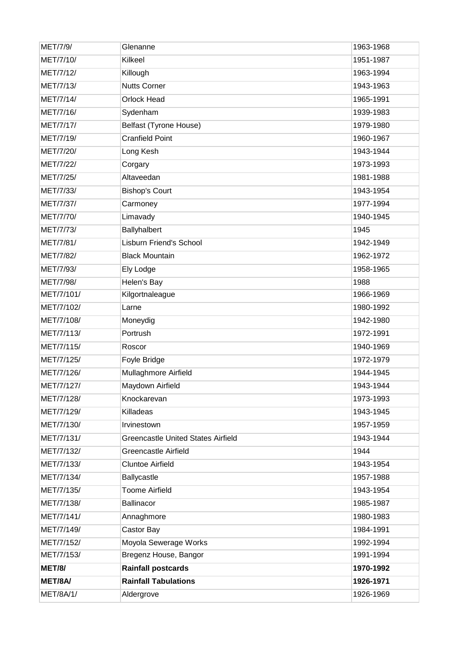| MET/7/9/      | Glenanne                                  | 1963-1968 |
|---------------|-------------------------------------------|-----------|
| MET/7/10/     | Kilkeel                                   | 1951-1987 |
| MET/7/12/     | Killough                                  | 1963-1994 |
| MET/7/13/     | <b>Nutts Corner</b>                       | 1943-1963 |
| MET/7/14/     | <b>Orlock Head</b>                        | 1965-1991 |
| MET/7/16/     | Sydenham                                  | 1939-1983 |
| MET/7/17/     | <b>Belfast (Tyrone House)</b>             | 1979-1980 |
| MET/7/19/     | <b>Cranfield Point</b>                    | 1960-1967 |
| MET/7/20/     | Long Kesh                                 | 1943-1944 |
| MET/7/22/     | Corgary                                   | 1973-1993 |
| MET/7/25/     | Altaveedan                                | 1981-1988 |
| MET/7/33/     | <b>Bishop's Court</b>                     | 1943-1954 |
| MET/7/37/     | Carmoney                                  | 1977-1994 |
| MET/7/70/     | Limavady                                  | 1940-1945 |
| MET/7/73/     | Ballyhalbert                              | 1945      |
| MET/7/81/     | <b>Lisburn Friend's School</b>            | 1942-1949 |
| MET/7/82/     | <b>Black Mountain</b>                     | 1962-1972 |
| MET/7/93/     | Ely Lodge                                 | 1958-1965 |
| MET/7/98/     | Helen's Bay                               | 1988      |
| MET/7/101/    | Kilgortnaleague                           | 1966-1969 |
| MET/7/102/    | Larne                                     | 1980-1992 |
| MET/7/108/    | Moneydig                                  | 1942-1980 |
| MET/7/113/    | Portrush                                  | 1972-1991 |
| MET/7/115/    | Roscor                                    | 1940-1969 |
| MET/7/125/    | Foyle Bridge                              | 1972-1979 |
| MET/7/126/    | Mullaghmore Airfield                      | 1944-1945 |
| MET/7/127/    | Maydown Airfield                          | 1943-1944 |
| MET/7/128/    | Knockarevan                               | 1973-1993 |
| MET/7/129/    | Killadeas                                 | 1943-1945 |
| MET/7/130/    | Irvinestown                               | 1957-1959 |
| MET/7/131/    | <b>Greencastle United States Airfield</b> | 1943-1944 |
| MET/7/132/    | <b>Greencastle Airfield</b>               | 1944      |
| MET/7/133/    | <b>Cluntoe Airfield</b>                   | 1943-1954 |
| MET/7/134/    | Ballycastle                               | 1957-1988 |
| MET/7/135/    | <b>Toome Airfield</b>                     | 1943-1954 |
| MET/7/138/    | Ballinacor                                | 1985-1987 |
| MET/7/141/    | Annaghmore                                | 1980-1983 |
| MET/7/149/    | Castor Bay                                | 1984-1991 |
| MET/7/152/    | Moyola Sewerage Works                     | 1992-1994 |
| MET/7/153/    | Bregenz House, Bangor                     | 1991-1994 |
| <b>MET/8/</b> | <b>Rainfall postcards</b>                 | 1970-1992 |
| MET/8A/       | <b>Rainfall Tabulations</b>               | 1926-1971 |
| MET/8A/1/     | Aldergrove                                | 1926-1969 |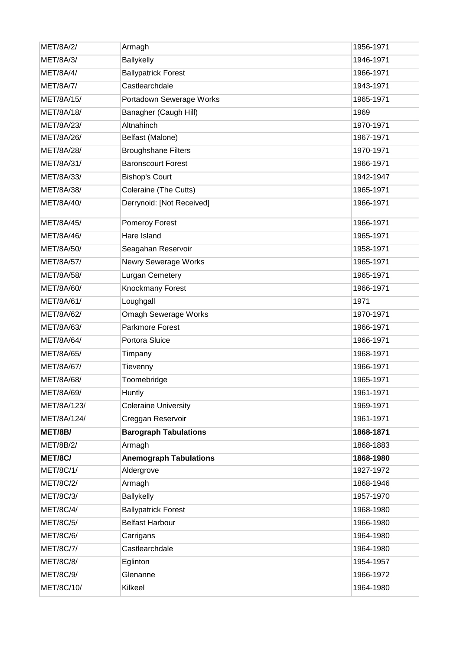| <b>MET/8A/2/</b> | Armagh                        | 1956-1971 |
|------------------|-------------------------------|-----------|
| <b>MET/8A/3/</b> | Ballykelly                    | 1946-1971 |
| <b>MET/8A/4/</b> | <b>Ballypatrick Forest</b>    | 1966-1971 |
| <b>MET/8A/7/</b> | Castlearchdale                | 1943-1971 |
| MET/8A/15/       | Portadown Sewerage Works      | 1965-1971 |
| MET/8A/18/       | Banagher (Caugh Hill)         | 1969      |
| MET/8A/23/       | Altnahinch                    | 1970-1971 |
| MET/8A/26/       | Belfast (Malone)              | 1967-1971 |
| MET/8A/28/       | <b>Broughshane Filters</b>    | 1970-1971 |
| MET/8A/31/       | <b>Baronscourt Forest</b>     | 1966-1971 |
| MET/8A/33/       | <b>Bishop's Court</b>         | 1942-1947 |
| MET/8A/38/       | Coleraine (The Cutts)         | 1965-1971 |
| MET/8A/40/       | Derrynoid: [Not Received]     | 1966-1971 |
| MET/8A/45/       | Pomeroy Forest                | 1966-1971 |
| MET/8A/46/       | Hare Island                   | 1965-1971 |
| MET/8A/50/       | Seagahan Reservoir            | 1958-1971 |
| MET/8A/57/       | Newry Sewerage Works          | 1965-1971 |
| MET/8A/58/       | Lurgan Cemetery               | 1965-1971 |
| MET/8A/60/       | Knockmany Forest              | 1966-1971 |
| MET/8A/61/       | Loughgall                     | 1971      |
| MET/8A/62/       | <b>Omagh Sewerage Works</b>   | 1970-1971 |
| MET/8A/63/       | Parkmore Forest               | 1966-1971 |
| MET/8A/64/       | Portora Sluice                | 1966-1971 |
| MET/8A/65/       | Timpany                       | 1968-1971 |
| MET/8A/67/       | Tievenny                      | 1966-1971 |
| MET/8A/68/       | Toomebridge                   | 1965-1971 |
| MET/8A/69/       | Huntly                        | 1961-1971 |
| MET/8A/123/      | <b>Coleraine University</b>   | 1969-1971 |
| MET/8A/124/      | Creggan Reservoir             | 1961-1971 |
| MET/8B/          | <b>Barograph Tabulations</b>  | 1868-1871 |
| MET/8B/2/        | Armagh                        | 1868-1883 |
| MET/8C/          | <b>Anemograph Tabulations</b> | 1868-1980 |
| MET/8C/1/        | Aldergrove                    | 1927-1972 |
| <b>MET/8C/2/</b> | Armagh                        | 1868-1946 |
| MET/8C/3/        | Ballykelly                    | 1957-1970 |
| <b>MET/8C/4/</b> | <b>Ballypatrick Forest</b>    | 1968-1980 |
| MET/8C/5/        | <b>Belfast Harbour</b>        | 1966-1980 |
| <b>MET/8C/6/</b> | Carrigans                     | 1964-1980 |
| <b>MET/8C/7/</b> | Castlearchdale                | 1964-1980 |
| <b>MET/8C/8/</b> | Eglinton                      | 1954-1957 |
| <b>MET/8C/9/</b> | Glenanne                      | 1966-1972 |
| MET/8C/10/       | Kilkeel                       | 1964-1980 |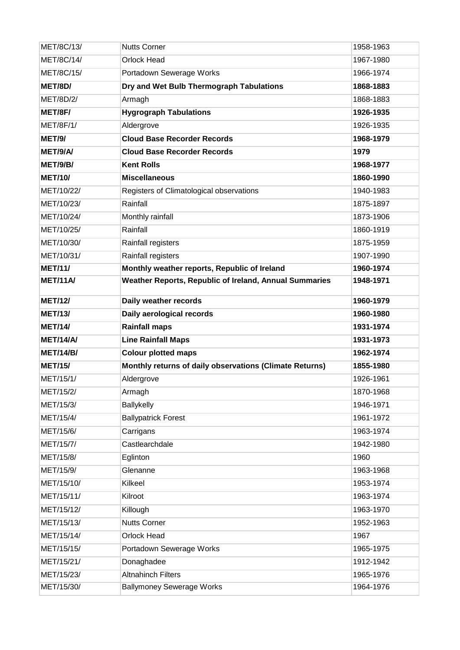| MET/8C/13/       | <b>Nutts Corner</b>                                     | 1958-1963 |
|------------------|---------------------------------------------------------|-----------|
| MET/8C/14/       | <b>Orlock Head</b>                                      | 1967-1980 |
| MET/8C/15/       | Portadown Sewerage Works                                | 1966-1974 |
| MET/8D/          | Dry and Wet Bulb Thermograph Tabulations                | 1868-1883 |
| MET/8D/2/        | Armagh                                                  | 1868-1883 |
| MET/8F/          | <b>Hygrograph Tabulations</b>                           | 1926-1935 |
| <b>MET/8F/1/</b> | Aldergrove                                              | 1926-1935 |
| <b>MET/9/</b>    | <b>Cloud Base Recorder Records</b>                      | 1968-1979 |
| MET/9/A/         | <b>Cloud Base Recorder Records</b>                      | 1979      |
| <b>MET/9/B/</b>  | <b>Kent Rolls</b>                                       | 1968-1977 |
| <b>MET/10/</b>   | <b>Miscellaneous</b>                                    | 1860-1990 |
| MET/10/22/       | Registers of Climatological observations                | 1940-1983 |
| MET/10/23/       | Rainfall                                                | 1875-1897 |
| MET/10/24/       | Monthly rainfall                                        | 1873-1906 |
| MET/10/25/       | Rainfall                                                | 1860-1919 |
| MET/10/30/       | Rainfall registers                                      | 1875-1959 |
| MET/10/31/       | Rainfall registers                                      | 1907-1990 |
| <b>MET/11/</b>   | Monthly weather reports, Republic of Ireland            | 1960-1974 |
| MET/11A/         | Weather Reports, Republic of Ireland, Annual Summaries  | 1948-1971 |
| <b>MET/12/</b>   | Daily weather records                                   | 1960-1979 |
| <b>MET/13/</b>   | Daily aerological records                               | 1960-1980 |
| <b>MET/14/</b>   | <b>Rainfall maps</b>                                    | 1931-1974 |
| MET/14/A/        | <b>Line Rainfall Maps</b>                               | 1931-1973 |
| <b>MET/14/B/</b> | <b>Colour plotted maps</b>                              | 1962-1974 |
| <b>MET/15/</b>   | Monthly returns of daily observations (Climate Returns) | 1855-1980 |
| MET/15/1/        | Aldergrove                                              | 1926-1961 |
| MET/15/2/        | Armagh                                                  | 1870-1968 |
| MET/15/3/        | Ballykelly                                              | 1946-1971 |
| MET/15/4/        | <b>Ballypatrick Forest</b>                              | 1961-1972 |
| MET/15/6/        | Carrigans                                               | 1963-1974 |
| MET/15/7/        | Castlearchdale                                          | 1942-1980 |
| MET/15/8/        | Eglinton                                                | 1960      |
| MET/15/9/        | Glenanne                                                | 1963-1968 |
| MET/15/10/       | Kilkeel                                                 | 1953-1974 |
| MET/15/11/       | Kilroot                                                 | 1963-1974 |
| MET/15/12/       | Killough                                                | 1963-1970 |
| MET/15/13/       | <b>Nutts Corner</b>                                     | 1952-1963 |
| MET/15/14/       | Orlock Head                                             | 1967      |
| MET/15/15/       | Portadown Sewerage Works                                | 1965-1975 |
| MET/15/21/       | Donaghadee                                              | 1912-1942 |
|                  |                                                         |           |
| MET/15/23/       | <b>Altnahinch Filters</b>                               | 1965-1976 |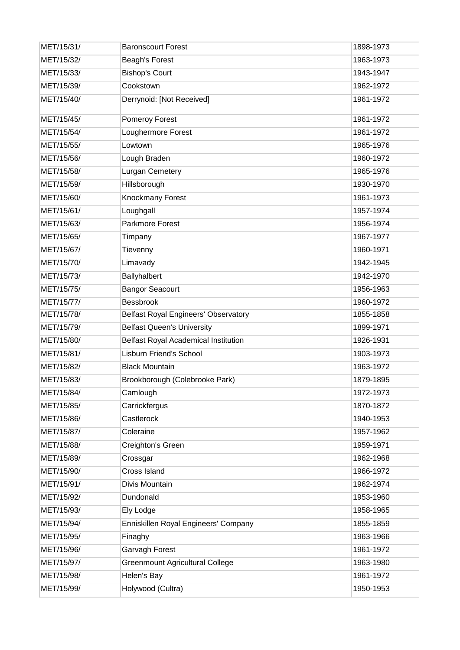| MET/15/31/ | <b>Baronscourt Forest</b>                   | 1898-1973 |
|------------|---------------------------------------------|-----------|
| MET/15/32/ | Beagh's Forest                              | 1963-1973 |
| MET/15/33/ | <b>Bishop's Court</b>                       | 1943-1947 |
| MET/15/39/ | Cookstown                                   | 1962-1972 |
| MET/15/40/ | Derrynoid: [Not Received]                   | 1961-1972 |
| MET/15/45/ | Pomeroy Forest                              | 1961-1972 |
| MET/15/54/ | Loughermore Forest                          | 1961-1972 |
| MET/15/55/ | Lowtown                                     | 1965-1976 |
| MET/15/56/ | Lough Braden                                | 1960-1972 |
| MET/15/58/ | Lurgan Cemetery                             | 1965-1976 |
| MET/15/59/ | Hillsborough                                | 1930-1970 |
| MET/15/60/ | Knockmany Forest                            | 1961-1973 |
| MET/15/61/ | Loughgall                                   | 1957-1974 |
| MET/15/63/ | Parkmore Forest                             | 1956-1974 |
| MET/15/65/ | Timpany                                     | 1967-1977 |
| MET/15/67/ | Tievenny                                    | 1960-1971 |
| MET/15/70/ | Limavady                                    | 1942-1945 |
| MET/15/73/ | Ballyhalbert                                | 1942-1970 |
| MET/15/75/ | <b>Bangor Seacourt</b>                      | 1956-1963 |
| MET/15/77/ | Bessbrook                                   | 1960-1972 |
| MET/15/78/ | <b>Belfast Royal Engineers' Observatory</b> | 1855-1858 |
| MET/15/79/ | <b>Belfast Queen's University</b>           | 1899-1971 |
| MET/15/80/ | Belfast Royal Academical Institution        | 1926-1931 |
| MET/15/81/ | <b>Lisburn Friend's School</b>              | 1903-1973 |
| MET/15/82/ | <b>Black Mountain</b>                       | 1963-1972 |
| MET/15/83/ | Brookborough (Colebrooke Park)              | 1879-1895 |
| MET/15/84/ | Camlough                                    | 1972-1973 |
| MET/15/85/ | Carrickfergus                               | 1870-1872 |
| MET/15/86/ | Castlerock                                  | 1940-1953 |
| MET/15/87/ | Coleraine                                   | 1957-1962 |
| MET/15/88/ | Creighton's Green                           | 1959-1971 |
| MET/15/89/ | Crossgar                                    | 1962-1968 |
| MET/15/90/ | <b>Cross Island</b>                         | 1966-1972 |
| MET/15/91/ | Divis Mountain                              | 1962-1974 |
| MET/15/92/ | Dundonald                                   | 1953-1960 |
| MET/15/93/ | Ely Lodge                                   | 1958-1965 |
| MET/15/94/ | Enniskillen Royal Engineers' Company        | 1855-1859 |
| MET/15/95/ | Finaghy                                     | 1963-1966 |
| MET/15/96/ | Garvagh Forest                              | 1961-1972 |
| MET/15/97/ | <b>Greenmount Agricultural College</b>      | 1963-1980 |
| MET/15/98/ | Helen's Bay                                 | 1961-1972 |
| MET/15/99/ | Holywood (Cultra)                           | 1950-1953 |